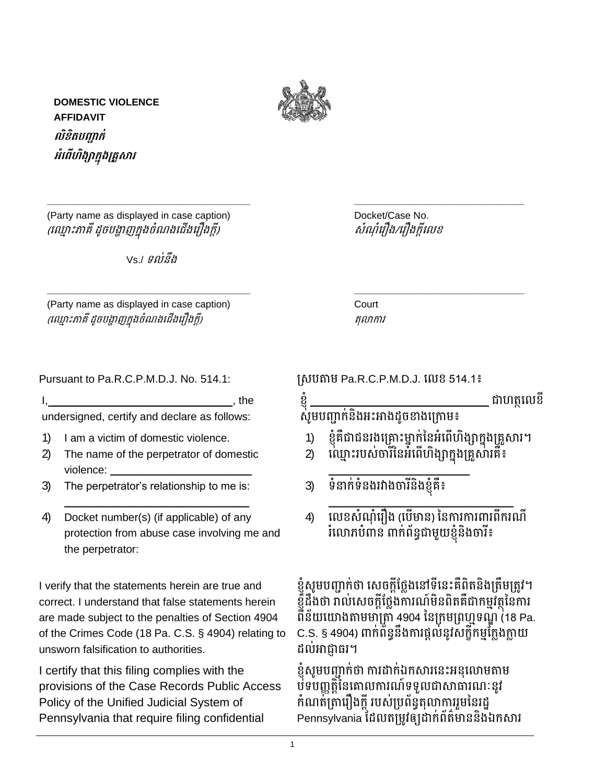

**\_\_\_\_\_\_\_\_\_\_\_\_\_\_\_\_\_\_\_\_\_\_\_\_\_\_\_\_\_\_\_\_\_\_\_\_\_ \_\_\_\_\_\_\_\_\_\_\_\_\_\_\_\_\_\_\_\_\_\_\_\_\_\_\_\_\_\_\_**

**\_\_\_\_\_\_\_\_\_\_\_\_\_\_\_\_\_\_\_\_\_\_\_\_\_\_\_\_\_\_\_\_\_\_\_\_\_ \_\_\_\_\_\_\_\_\_\_\_\_\_\_\_\_\_\_\_\_\_\_\_\_\_\_\_\_\_\_\_**

**DOMESTIC VIOLENCE AFFIDAVIT លិខិតបញ្ជាក់ អំព ើហិង្សាកនុង្សគ្រួសារ**

(Party name as displayed in case caption) example a mode Docket/Case No. (ឈ ្មោះភមគី ដូចបង្ហមញក្នុងចំណងឈ ើងឈ ឿងក្ដី) សំណ ំឈ ឿង/ឈ ឿងក្ដីឈេខ

 $Vs$  /  $g$ ឦនឹង

(Party name as displayed in case caption) Court (ឈ ្មោះភមគី ដូចបង្ហមញក្នុងចំណងឈ ើងឈ ឿងក្ដី) តុលមកម

Pursuant to Pa.R.C.P.M.D.J. No. 514.1: ស្សបតមម Pa.R.C.P.M.D.J. ឈេខ 514.1៖

|--|

undersigned, certify and declare as follows:

- 1) I am a victim of domestic violence.
- 2) The name of the perpetrator of domestic violence:
- 3) The perpetrator's relationship to me is:
- 4) Docket number(s) (if applicable) of any protection from abuse case involving me and the perpetrator:

\_\_\_\_\_\_\_\_\_\_\_\_\_\_\_\_\_\_\_\_\_\_\_\_\_\_\_\_\_\_\_\_\_\_

I verify that the statements herein are true and correct. I understand that false statements herein are made subject to the penalties of Section 4904 of the Crimes Code (18 Pa. C.S. § 4904) relating to unsworn falsification to authorities.

I certify that this filing complies with the provisions of the Case Records Public Access Policy of the Unified Judicial System of Pennsylvania that require filing confidential

- ្ភដាហត្ថលេខី សូមបញ្ជាក់និងអះអាងដូចខាងក្រោម៖ 1) ខ្ញុំគឺជាជនរងគ្រោះម្នាក់នៃអំពើហិង្សាក្នុងគ្រួសារ។ 2) ល្មោះរបស់ចារីនៃអំពើហិង្សាក្នុងគ្រួសារគឺ៖ \_\_\_\_\_\_\_\_\_\_\_\_\_\_\_\_\_\_\_\_\_\_\_\_\_\_ 3) ទំនាក់ទំនងរវាងចារីនិងខ្ញុំគឺ៖ \_\_\_\_\_\_\_\_\_\_\_\_\_\_\_\_\_\_\_\_\_\_\_\_\_\_\_\_\_\_\_\_\_\_
- 4) លេខសំណុំរឿង (បើមាន) នៃការការពារពីករណី ំលោភបំពាន ពាក់ព័ន្ធជាមួយខ្ញុំនិងចារី៖

ខ្ញុំសូមបញ្ជាក់ថា សេចក្តីថ្លែងនៅទីនេះគឺពិតនិងត្រឹមត្រូវ។ ខ្ញុំដឹងថា រាល់សេចក្ដីថ្លែងការណ៍មិនពិតគឺជាកម្មវត្ថុនៃការ ពីន័យយោងតាមមាត្រាំ 4904 នៃក្រមព្រហ្មទណ្ឌ (18 Pa. C.S. § 4904) ពាក់ព័ន្ធនឹងការផ្ដល់នូវសក្តីកម្មក្លែងក្លាយ ដល់អាជ្ញាធរ។

ខ្ញុំសូមបញ្ជាក់ថា ការដាក់ឯកសារនេះអនុលោមតាម បទបញ្ញត្តិនៃគោលការណ៍ទទួលជាសាធារណៈនូវ កំណត់ត្រារឿងក្ដី របស់ប្រព័ន្ធតុលាការរួមនៃរដ្ឋ Pennsylvania ដែលតម្រូវឲ្យដាក់ព័ត៌មាននិងឯកសារ